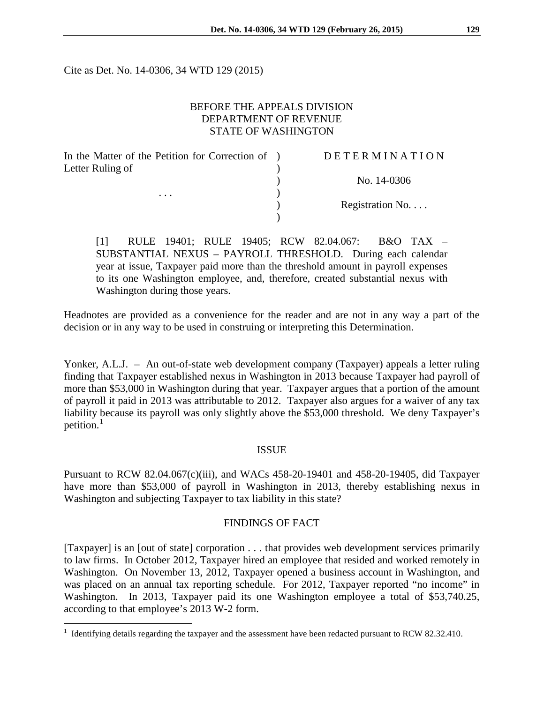Cite as Det. No. 14-0306, 34 WTD 129 (2015)

## BEFORE THE APPEALS DIVISION DEPARTMENT OF REVENUE STATE OF WASHINGTON

| In the Matter of the Petition for Correction of ) | DETERMINATION    |
|---------------------------------------------------|------------------|
| Letter Ruling of                                  |                  |
|                                                   | No. 14-0306      |
| $\cdots$                                          |                  |
|                                                   | Registration No. |
|                                                   |                  |

[1] RULE 19401; RULE 19405; RCW 82.04.067: B&O TAX – SUBSTANTIAL NEXUS – PAYROLL THRESHOLD. During each calendar year at issue, Taxpayer paid more than the threshold amount in payroll expenses to its one Washington employee, and, therefore, created substantial nexus with Washington during those years.

Headnotes are provided as a convenience for the reader and are not in any way a part of the decision or in any way to be used in construing or interpreting this Determination.

Yonker, A.L.J. – An out-of-state web development company (Taxpayer) appeals a letter ruling finding that Taxpayer established nexus in Washington in 2013 because Taxpayer had payroll of more than \$53,000 in Washington during that year. Taxpayer argues that a portion of the amount of payroll it paid in 2013 was attributable to 2012. Taxpayer also argues for a waiver of any tax liability because its payroll was only slightly above the \$53,000 threshold. We deny Taxpayer's petition.<sup>[1](#page-0-0)</sup>

## ISSUE

Pursuant to RCW 82.04.067(c)(iii), and WACs 458-20-19401 and 458-20-19405, did Taxpayer have more than \$53,000 of payroll in Washington in 2013, thereby establishing nexus in Washington and subjecting Taxpayer to tax liability in this state?

#### FINDINGS OF FACT

[Taxpayer] is an [out of state] corporation . . . that provides web development services primarily to law firms. In October 2012, Taxpayer hired an employee that resided and worked remotely in Washington. On November 13, 2012, Taxpayer opened a business account in Washington, and was placed on an annual tax reporting schedule. For 2012, Taxpayer reported "no income" in Washington. In 2013, Taxpayer paid its one Washington employee a total of \$53,740.25, according to that employee's 2013 W-2 form.

 $\overline{a}$ 

<span id="page-0-0"></span> $1$  Identifying details regarding the taxpayer and the assessment have been redacted pursuant to RCW 82.32.410.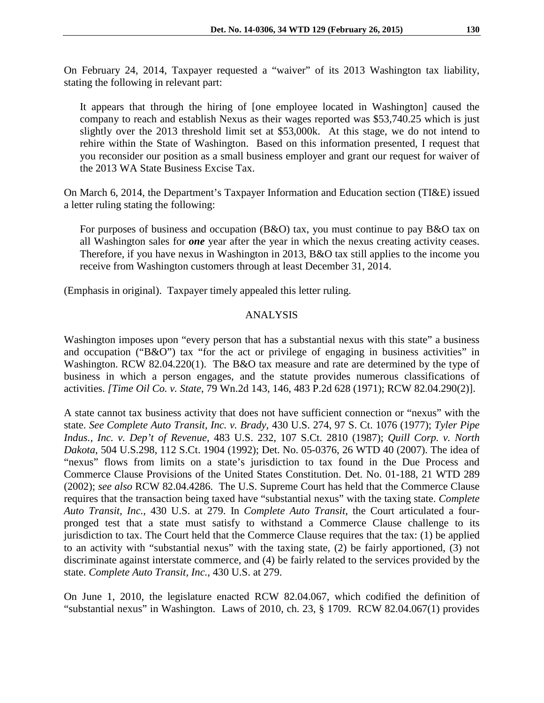On February 24, 2014, Taxpayer requested a "waiver" of its 2013 Washington tax liability, stating the following in relevant part:

It appears that through the hiring of [one employee located in Washington] caused the company to reach and establish Nexus as their wages reported was \$53,740.25 which is just slightly over the 2013 threshold limit set at \$53,000k. At this stage, we do not intend to rehire within the State of Washington. Based on this information presented, I request that you reconsider our position as a small business employer and grant our request for waiver of the 2013 WA State Business Excise Tax.

On March 6, 2014, the Department's Taxpayer Information and Education section (TI&E) issued a letter ruling stating the following:

For purposes of business and occupation (B&O) tax, you must continue to pay B&O tax on all Washington sales for *one* year after the year in which the nexus creating activity ceases. Therefore, if you have nexus in Washington in 2013, B&O tax still applies to the income you receive from Washington customers through at least December 31, 2014.

(Emphasis in original). Taxpayer timely appealed this letter ruling.

## ANALYSIS

Washington imposes upon "every person that has a substantial nexus with this state" a business and occupation ("B&O") tax "for the act or privilege of engaging in business activities" in Washington. RCW 82.04.220(1). The B&O tax measure and rate are determined by the type of business in which a person engages, and the statute provides numerous classifications of activities. *[Time Oil Co. v. State*, 79 Wn.2d 143, 146, 483 P.2d 628 (1971); RCW 82.04.290(2)].

A state cannot tax business activity that does not have sufficient connection or "nexus" with the state. *See Complete Auto Transit, Inc. v. Brady*, 430 U.S. 274, 97 S. Ct. 1076 (1977); *Tyler Pipe Indus., Inc. v. Dep't of Revenue*, 483 U.S. 232, 107 S.Ct. 2810 (1987); *Quill Corp. v. North Dakota*, 504 U.S.298, 112 S.Ct. 1904 (1992); Det. No. 05-0376, 26 WTD 40 (2007). The idea of "nexus" flows from limits on a state's jurisdiction to tax found in the Due Process and Commerce Clause Provisions of the United States Constitution. Det. No. 01-188, 21 WTD 289 (2002); *see also* RCW 82.04.4286. The U.S. Supreme Court has held that the Commerce Clause requires that the transaction being taxed have "substantial nexus" with the taxing state. *Complete Auto Transit, Inc.*, 430 U.S. at 279. In *Complete Auto Transit*, the Court articulated a fourpronged test that a state must satisfy to withstand a Commerce Clause challenge to its jurisdiction to tax. The Court held that the Commerce Clause requires that the tax: (1) be applied to an activity with "substantial nexus" with the taxing state, (2) be fairly apportioned, (3) not discriminate against interstate commerce, and (4) be fairly related to the services provided by the state. *Complete Auto Transit, Inc.*, 430 U.S. at 279.

On June 1, 2010, the legislature enacted RCW 82.04.067, which codified the definition of "substantial nexus" in Washington. Laws of 2010, ch. 23, § 1709. RCW 82.04.067(1) provides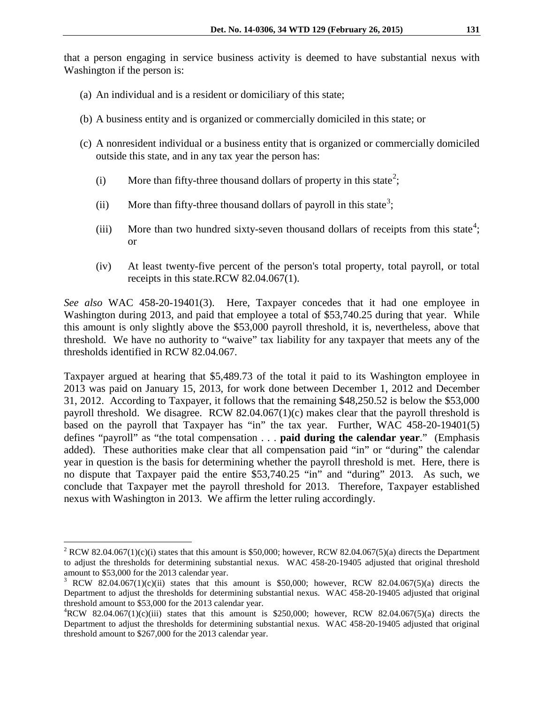that a person engaging in service business activity is deemed to have substantial nexus with Washington if the person is:

- (a) An individual and is a resident or domiciliary of this state;
- (b) A business entity and is organized or commercially domiciled in this state; or
- (c) A nonresident individual or a business entity that is organized or commercially domiciled outside this state, and in any tax year the person has:
	- (i) More than fifty-three thousand dollars of property in this state<sup>[2](#page-2-0)</sup>;
	- (ii) More than fifty-three thousand dollars of payroll in this state<sup>[3](#page-2-1)</sup>;
	- (iii) More than two hundred sixty-seven thousand dollars of receipts from this state<sup>[4](#page-2-2)</sup>; or
	- (iv) At least twenty-five percent of the person's total property, total payroll, or total receipts in this state.RCW 82.04.067(1).

*See also* WAC 458-20-19401(3). Here, Taxpayer concedes that it had one employee in Washington during 2013, and paid that employee a total of \$53,740.25 during that year. While this amount is only slightly above the \$53,000 payroll threshold, it is, nevertheless, above that threshold. We have no authority to "waive" tax liability for any taxpayer that meets any of the thresholds identified in RCW 82.04.067.

Taxpayer argued at hearing that \$5,489.73 of the total it paid to its Washington employee in 2013 was paid on January 15, 2013, for work done between December 1, 2012 and December 31, 2012. According to Taxpayer, it follows that the remaining \$48,250.52 is below the \$53,000 payroll threshold. We disagree. RCW 82.04.067(1)(c) makes clear that the payroll threshold is based on the payroll that Taxpayer has "in" the tax year. Further, WAC 458-20-19401(5) defines "payroll" as "the total compensation . . . **paid during the calendar year**." (Emphasis added). These authorities make clear that all compensation paid "in" or "during" the calendar year in question is the basis for determining whether the payroll threshold is met. Here, there is no dispute that Taxpayer paid the entire \$53,740.25 "in" and "during" 2013. As such, we conclude that Taxpayer met the payroll threshold for 2013. Therefore, Taxpayer established nexus with Washington in 2013. We affirm the letter ruling accordingly.

 $\overline{a}$ 

<span id="page-2-0"></span><sup>&</sup>lt;sup>2</sup> RCW 82.04.067(1)(c)(i) states that this amount is \$50,000; however, RCW 82.04.067(5)(a) directs the Department to adjust the thresholds for determining substantial nexus. WAC 458-20-19405 adjusted that original threshold amount to \$53,000 for the 2013 calendar year.

<span id="page-2-1"></span><sup>&</sup>lt;sup>3</sup> RCW 82.04.067(1)(c)(ii) states that this amount is \$50,000; however, RCW 82.04.067(5)(a) directs the Department to adjust the thresholds for determining substantial nexus. WAC 458-20-19405 adjusted that original threshold amount to \$53,000 for the 2013 calendar year.

<span id="page-2-2"></span> ${}^{4}$ RCW 82.04.067(1)(c)(iii) states that this amount is \$250,000; however, RCW 82.04.067(5)(a) directs the Department to adjust the thresholds for determining substantial nexus. WAC 458-20-19405 adjusted that original threshold amount to \$267,000 for the 2013 calendar year.